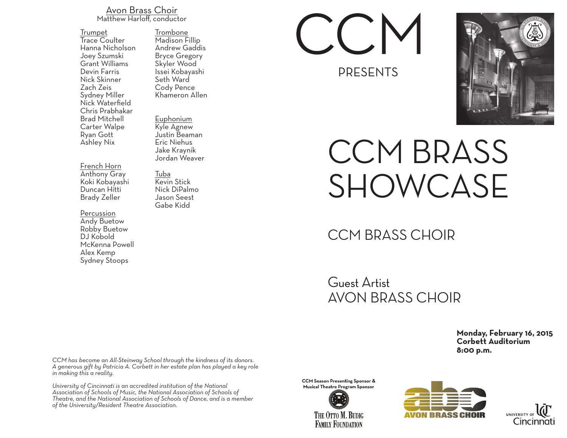## Avon Brass Choir Matthew Harloff, conductor

Trumpet Trace Coulter Hanna Nicholson Joey Szumski Grant Williams Devin Farris Nick Skinner Zach Zeis Sydney Miller Nick Waterfield Chris Prabhakar Brad Mitchell Carter Walpe Ryan Gott Ashley Nix

French Horn Anthony Gray Koki Kobayashi Duncan Hitti Brady Zeller

Percussion<br>Andy Buetow Robby Buetow DJ Kobold McKenna Powell Alex Kemp Sydney Stoops

Trombone Madison Fillip Andrew Gaddis Bryce Gregory Skyler Wood Issei Kobayashi Seth Ward Cody Pence Khameron Allen

Euphonium Kyle Agnew Justin Beaman Eric Niehus Jake Kraynik Jordan Weaver

Tuba Kevin Stick Nick DiPalmo Jason Seest Gabe Kidd

PRESENTS



## CCM BRASS SHOWCASE

## CCM BRASS CHOIR

Guest Artist AVON BRASS CHOIR

> **Monday, February 16, 2015 Corbett Auditorium 8:00 p.m.**

*CCM has become an All-Steinway School through the kindness of its donors. A generous gift by Patricia A. Corbett in her estate plan has played a key role in making this a reality.*

*University of Cincinnati is an accredited institution of the National Association of Schools of Music, the National Association of Schools of Theatre, and the National Association of Schools of Dance, and is a member of the University/Resident Theatre Association.*

**CCM Season Presenting Sponsor & Musical Theatre Program Sponsor** 

> THE OTTO M. BUDIG **FAMILY FOUNDATION**